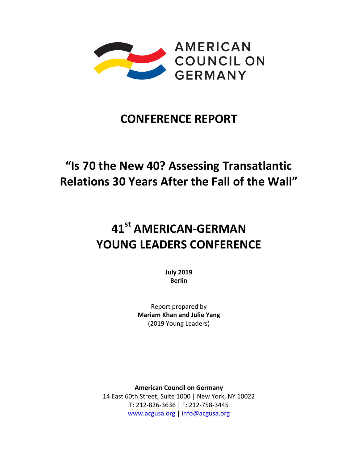

# **CONFERENCE REPORT**

# **"Is 70 the New 40? Assessing Transatlantic Relations 30 Years After the Fall of the Wall"**

# **41st AMERICAN-GERMAN YOUNG LEADERS CONFERENCE**

**July 2019 Berlin**

Report prepared by **Mariam Khan and Julie Yang** (2019 Young Leaders)

**American Council on Germany** 14 East 60th Street, Suite 1000 | New York, NY 10022 T: 212‐826‐3636 | F: 212‐758‐3445 www.acgusa.org | info@acgusa.org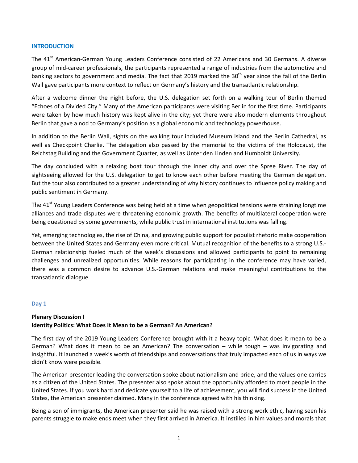#### **INTRODUCTION**

The 41<sup>st</sup> American-German Young Leaders Conference consisted of 22 Americans and 30 Germans. A diverse group of mid-career professionals, the participants represented a range of industries from the automotive and banking sectors to government and media. The fact that 2019 marked the 30<sup>th</sup> year since the fall of the Berlin Wall gave participants more context to reflect on Germany's history and the transatlantic relationship.

After a welcome dinner the night before, the U.S. delegation set forth on a walking tour of Berlin themed "Echoes of a Divided City." Many of the American participants were visiting Berlin for the first time. Participants were taken by how much history was kept alive in the city; yet there were also modern elements throughout Berlin that gave a nod to Germany's position as a global economic and technology powerhouse.

In addition to the Berlin Wall, sights on the walking tour included Museum Island and the Berlin Cathedral, as well as Checkpoint Charlie. The delegation also passed by the memorial to the victims of the Holocaust, the Reichstag Building and the Government Quarter, as well as Unter den Linden and Humboldt University.

The day concluded with a relaxing boat tour through the inner city and over the Spree River. The day of sightseeing allowed for the U.S. delegation to get to know each other before meeting the German delegation. But the tour also contributed to a greater understanding of why history continues to influence policy making and public sentiment in Germany.

The 41<sup>st</sup> Young Leaders Conference was being held at a time when geopolitical tensions were straining longtime alliances and trade disputes were threatening economic growth. The benefits of multilateral cooperation were being questioned by some governments, while public trust in international institutions was falling.

Yet, emerging technologies, the rise of China, and growing public support for populist rhetoric make cooperation between the United States and Germany even more critical. Mutual recognition of the benefits to a strong U.S.-German relationship fueled much of the week's discussions and allowed participants to point to remaining challenges and unrealized opportunities. While reasons for participating in the conference may have varied, there was a common desire to advance U.S.-German relations and make meaningful contributions to the transatlantic dialogue.

#### **Day 1**

# **Plenary Discussion I Identity Politics: What Does It Mean to be a German? An American?**

The first day of the 2019 Young Leaders Conference brought with it a heavy topic. What does it mean to be a German? What does it mean to be an American? The conversation – while tough – was invigorating and insightful. It launched a week's worth of friendships and conversations that truly impacted each of us in ways we didn't know were possible.

The American presenter leading the conversation spoke about nationalism and pride, and the values one carries as a citizen of the United States. The presenter also spoke about the opportunity afforded to most people in the United States. If you work hard and dedicate yourself to a life of achievement, you will find success in the United States, the American presenter claimed. Many in the conference agreed with his thinking.

Being a son of immigrants, the American presenter said he was raised with a strong work ethic, having seen his parents struggle to make ends meet when they first arrived in America. It instilled in him values and morals that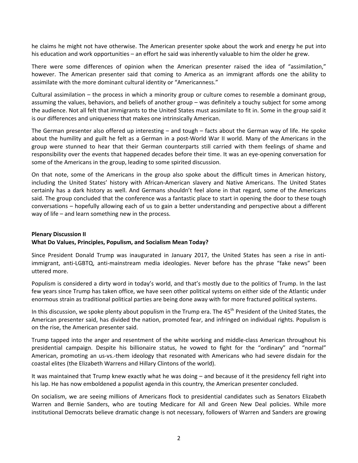he claims he might not have otherwise. The American presenter spoke about the work and energy he put into his education and work opportunities – an effort he said was inherently valuable to him the older he grew.

There were some differences of opinion when the American presenter raised the idea of "assimilation," however. The American presenter said that coming to America as an immigrant affords one the ability to assimilate with the more dominant cultural identity or "Americanness."

Cultural assimilation – the process in which a minority group or culture comes to resemble a dominant group, assuming the values, behaviors, and beliefs of another group – was definitely a touchy subject for some among the audience. Not all felt that immigrants to the United States must assimilate to fit in. Some in the group said it is our differences and uniqueness that makes one intrinsically American.

The German presenter also offered up interesting – and tough – facts about the German way of life. He spoke about the humility and guilt he felt as a German in a post-World War II world. Many of the Americans in the group were stunned to hear that their German counterparts still carried with them feelings of shame and responsibility over the events that happened decades before their time. It was an eye-opening conversation for some of the Americans in the group, leading to some spirited discussion.

On that note, some of the Americans in the group also spoke about the difficult times in American history, including the United States' history with African-American slavery and Native Americans. The United States certainly has a dark history as well. And Germans shouldn't feel alone in that regard, some of the Americans said. The group concluded that the conference was a fantastic place to start in opening the door to these tough conversations – hopefully allowing each of us to gain a better understanding and perspective about a different way of life – and learn something new in the process.

## **Plenary Discussion II What Do Values, Principles, Populism, and Socialism Mean Today?**

Since President Donald Trump was inaugurated in January 2017, the United States has seen a rise in antiimmigrant, anti-LGBTQ, anti-mainstream media ideologies. Never before has the phrase "fake news" been uttered more.

Populism is considered a dirty word in today's world, and that's mostly due to the politics of Trump. In the last few years since Trump has taken office, we have seen other political systems on either side of the Atlantic under enormous strain as traditional political parties are being done away with for more fractured political systems.

In this discussion, we spoke plenty about populism in the Trump era. The 45<sup>th</sup> President of the United States, the American presenter said, has divided the nation, promoted fear, and infringed on individual rights. Populism is on the rise, the American presenter said.

Trump tapped into the anger and resentment of the white working and middle-class American throughout his presidential campaign. Despite his billionaire status, he vowed to fight for the "ordinary" and "normal" American, promoting an us-vs.-them ideology that resonated with Americans who had severe disdain for the coastal elites (the Elizabeth Warrens and Hillary Clintons of the world).

It was maintained that Trump knew exactly what he was doing – and because of it the presidency fell right into his lap. He has now emboldened a populist agenda in this country, the American presenter concluded.

On socialism, we are seeing millions of Americans flock to presidential candidates such as Senators Elizabeth Warren and Bernie Sanders, who are touting Medicare for All and Green New Deal policies. While more institutional Democrats believe dramatic change is not necessary, followers of Warren and Sanders are growing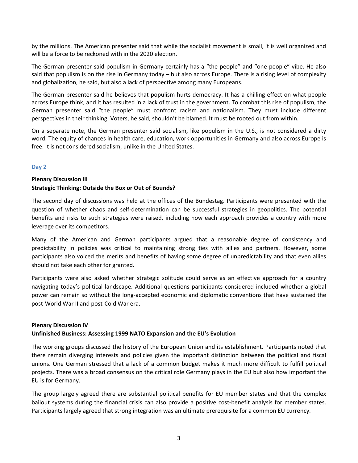by the millions. The American presenter said that while the socialist movement is small, it is well organized and will be a force to be reckoned with in the 2020 election.

The German presenter said populism in Germany certainly has a "the people" and "one people" vibe. He also said that populism is on the rise in Germany today – but also across Europe. There is a rising level of complexity and globalization, he said, but also a lack of perspective among many Europeans.

The German presenter said he believes that populism hurts democracy. It has a chilling effect on what people across Europe think, and it has resulted in a lack of trust in the government. To combat this rise of populism, the German presenter said "the people" must confront racism and nationalism. They must include different perspectives in their thinking. Voters, he said, shouldn't be blamed. It must be rooted out from within.

On a separate note, the German presenter said socialism, like populism in the U.S., is not considered a dirty word. The equity of chances in health care, education, work opportunities in Germany and also across Europe is free. It is not considered socialism, unlike in the United States.

#### **Day 2**

# **Plenary Discussion III Strategic Thinking: Outside the Box or Out of Bounds?**

The second day of discussions was held at the offices of the Bundestag. Participants were presented with the question of whether chaos and self-determination can be successful strategies in geopolitics. The potential benefits and risks to such strategies were raised, including how each approach provides a country with more leverage over its competitors.

Many of the American and German participants argued that a reasonable degree of consistency and predictability in policies was critical to maintaining strong ties with allies and partners. However, some participants also voiced the merits and benefits of having some degree of unpredictability and that even allies should not take each other for granted.

Participants were also asked whether strategic solitude could serve as an effective approach for a country navigating today's political landscape. Additional questions participants considered included whether a global power can remain so without the long-accepted economic and diplomatic conventions that have sustained the post-World War II and post-Cold War era.

#### **Plenary Discussion IV**

#### **Unfinished Business: Assessing 1999 NATO Expansion and the EU's Evolution**

The working groups discussed the history of the European Union and its establishment. Participants noted that there remain diverging interests and policies given the important distinction between the political and fiscal unions. One German stressed that a lack of a common budget makes it much more difficult to fulfill political projects. There was a broad consensus on the critical role Germany plays in the EU but also how important the EU is for Germany.

The group largely agreed there are substantial political benefits for EU member states and that the complex bailout systems during the financial crisis can also provide a positive cost-benefit analysis for member states. Participants largely agreed that strong integration was an ultimate prerequisite for a common EU currency.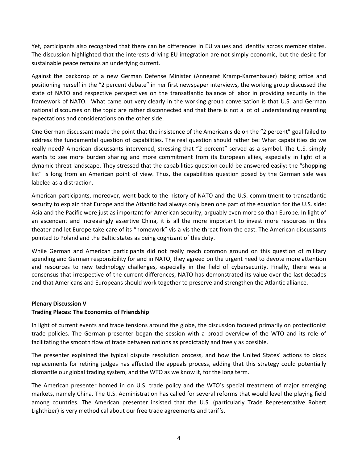Yet, participants also recognized that there can be differences in EU values and identity across member states. The discussion highlighted that the interests driving EU integration are not simply economic, but the desire for sustainable peace remains an underlying current.

Against the backdrop of a new German Defense Minister (Annegret Kramp-Karrenbauer) taking office and positioning herself in the "2 percent debate" in her first newspaper interviews, the working group discussed the state of NATO and respective perspectives on the transatlantic balance of labor in providing security in the framework of NATO. What came out very clearly in the working group conversation is that U.S. and German national discourses on the topic are rather disconnected and that there is not a lot of understanding regarding expectations and considerations on the other side.

One German discussant made the point that the insistence of the American side on the "2 percent" goal failed to address the fundamental question of capabilities. The real question should rather be: What capabilities do we really need? American discussants intervened, stressing that "2 percent" served as a symbol. The U.S. simply wants to see more burden sharing and more commitment from its European allies, especially in light of a dynamic threat landscape. They stressed that the capabilities question could be answered easily: the "shopping list" is long from an American point of view. Thus, the capabilities question posed by the German side was labeled as a distraction.

American participants, moreover, went back to the history of NATO and the U.S. commitment to transatlantic security to explain that Europe and the Atlantic had always only been one part of the equation for the U.S. side: Asia and the Pacific were just as important for American security, arguably even more so than Europe. In light of an ascendant and increasingly assertive China, it is all the more important to invest more resources in this theater and let Europe take care of its "homework" vis-à-vis the threat from the east. The American discussants pointed to Poland and the Baltic states as being cognizant of this duty.

While German and American participants did not really reach common ground on this question of military spending and German responsibility for and in NATO, they agreed on the urgent need to devote more attention and resources to new technology challenges, especially in the field of cybersecurity. Finally, there was a consensus that irrespective of the current differences, NATO has demonstrated its value over the last decades and that Americans and Europeans should work together to preserve and strengthen the Atlantic alliance.

#### **Plenary Discussion V**

# **Trading Places: The Economics of Friendship**

In light of current events and trade tensions around the globe, the discussion focused primarily on protectionist trade policies. The German presenter began the session with a broad overview of the WTO and its role of facilitating the smooth flow of trade between nations as predictably and freely as possible.

The presenter explained the typical dispute resolution process, and how the United States' actions to block replacements for retiring judges has affected the appeals process, adding that this strategy could potentially dismantle our global trading system, and the WTO as we know it, for the long term.

The American presenter homed in on U.S. trade policy and the WTO's special treatment of major emerging markets, namely China. The U.S. Administration has called for several reforms that would level the playing field among countries. The American presenter insisted that the U.S. (particularly Trade Representative Robert Lighthizer) is very methodical about our free trade agreements and tariffs.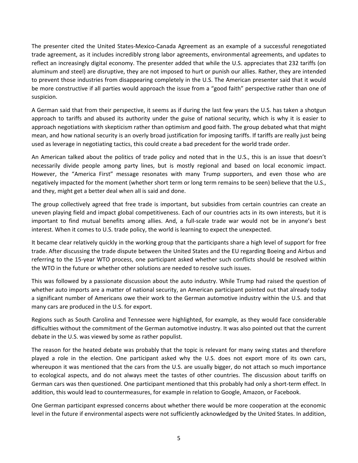The presenter cited the United States-Mexico-Canada Agreement as an example of a successful renegotiated trade agreement, as it includes incredibly strong labor agreements, environmental agreements, and updates to reflect an increasingly digital economy. The presenter added that while the U.S. appreciates that 232 tariffs (on aluminum and steel) are disruptive, they are not imposed to hurt or punish our allies. Rather, they are intended to prevent those industries from disappearing completely in the U.S. The American presenter said that it would be more constructive if all parties would approach the issue from a "good faith" perspective rather than one of suspicion.

A German said that from their perspective, it seems as if during the last few years the U.S. has taken a shotgun approach to tariffs and abused its authority under the guise of national security, which is why it is easier to approach negotiations with skepticism rather than optimism and good faith. The group debated what that might mean, and how national security is an overly broad justification for imposing tariffs. If tariffs are really just being used as leverage in negotiating tactics, this could create a bad precedent for the world trade order.

An American talked about the politics of trade policy and noted that in the U.S., this is an issue that doesn't necessarily divide people among party lines, but is mostly regional and based on local economic impact. However, the "America First" message resonates with many Trump supporters, and even those who are negatively impacted for the moment (whether short term or long term remains to be seen) believe that the U.S., and they, might get a better deal when all is said and done.

The group collectively agreed that free trade is important, but subsidies from certain countries can create an uneven playing field and impact global competitiveness. Each of our countries acts in its own interests, but it is important to find mutual benefits among allies. And, a full-scale trade war would not be in anyone's best interest. When it comes to U.S. trade policy, the world is learning to expect the unexpected.

It became clear relatively quickly in the working group that the participants share a high level of support for free trade. After discussing the trade dispute between the United States and the EU regarding Boeing and Airbus and referring to the 15-year WTO process, one participant asked whether such conflicts should be resolved within the WTO in the future or whether other solutions are needed to resolve such issues.

This was followed by a passionate discussion about the auto industry. While Trump had raised the question of whether auto imports are a matter of national security, an American participant pointed out that already today a significant number of Americans owe their work to the German automotive industry within the U.S. and that many cars are produced in the U.S. for export.

Regions such as South Carolina and Tennessee were highlighted, for example, as they would face considerable difficulties without the commitment of the German automotive industry. It was also pointed out that the current debate in the U.S. was viewed by some as rather populist.

The reason for the heated debate was probably that the topic is relevant for many swing states and therefore played a role in the election. One participant asked why the U.S. does not export more of its own cars, whereupon it was mentioned that the cars from the U.S. are usually bigger, do not attach so much importance to ecological aspects, and do not always meet the tastes of other countries. The discussion about tariffs on German cars was then questioned. One participant mentioned that this probably had only a short-term effect. In addition, this would lead to countermeasures, for example in relation to Google, Amazon, or Facebook.

One German participant expressed concerns about whether there would be more cooperation at the economic level in the future if environmental aspects were not sufficiently acknowledged by the United States. In addition,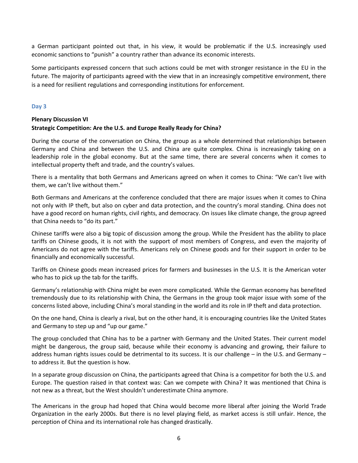a German participant pointed out that, in his view, it would be problematic if the U.S. increasingly used economic sanctions to "punish" a country rather than advance its economic interests.

Some participants expressed concern that such actions could be met with stronger resistance in the EU in the future. The majority of participants agreed with the view that in an increasingly competitive environment, there is a need for resilient regulations and corresponding institutions for enforcement.

#### **Day 3**

# **Plenary Discussion VI Strategic Competition: Are the U.S. and Europe Really Ready for China?**

During the course of the conversation on China, the group as a whole determined that relationships between Germany and China and between the U.S. and China are quite complex. China is increasingly taking on a leadership role in the global economy. But at the same time, there are several concerns when it comes to intellectual property theft and trade, and the country's values.

There is a mentality that both Germans and Americans agreed on when it comes to China: "We can't live with them, we can't live without them."

Both Germans and Americans at the conference concluded that there are major issues when it comes to China not only with IP theft, but also on cyber and data protection, and the country's moral standing. China does not have a good record on human rights, civil rights, and democracy. On issues like climate change, the group agreed that China needs to "do its part."

Chinese tariffs were also a big topic of discussion among the group. While the President has the ability to place tariffs on Chinese goods, it is not with the support of most members of Congress, and even the majority of Americans do not agree with the tariffs. Americans rely on Chinese goods and for their support in order to be financially and economically successful.

Tariffs on Chinese goods mean increased prices for farmers and businesses in the U.S. It is the American voter who has to pick up the tab for the tariffs.

Germany's relationship with China might be even more complicated. While the German economy has benefited tremendously due to its relationship with China, the Germans in the group took major issue with some of the concerns listed above, including China's moral standing in the world and its role in IP theft and data protection.

On the one hand, China is clearly a rival, but on the other hand, it is encouraging countries like the United States and Germany to step up and "up our game."

The group concluded that China has to be a partner with Germany and the United States. Their current model might be dangerous, the group said, because while their economy is advancing and growing, their failure to address human rights issues could be detrimental to its success. It is our challenge – in the U.S. and Germany – to address it. But the question is how.

In a separate group discussion on China, the participants agreed that China is a competitor for both the U.S. and Europe. The question raised in that context was: Can we compete with China? It was mentioned that China is not new as a threat, but the West shouldn't underestimate China anymore.

The Americans in the group had hoped that China would become more liberal after joining the World Trade Organization in the early 2000s. But there is no level playing field, as market access is still unfair. Hence, the perception of China and its international role has changed drastically.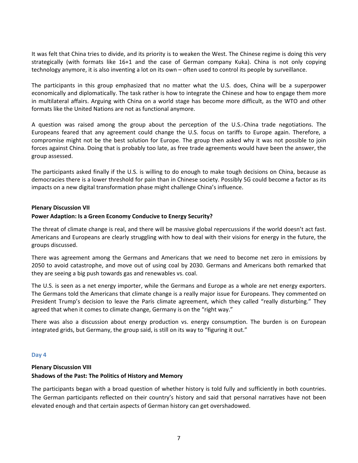It was felt that China tries to divide, and its priority is to weaken the West. The Chinese regime is doing this very strategically (with formats like 16+1 and the case of German company Kuka). China is not only copying technology anymore, it is also inventing a lot on its own – often used to control its people by surveillance.

The participants in this group emphasized that no matter what the U.S. does, China will be a superpower economically and diplomatically. The task rather is how to integrate the Chinese and how to engage them more in multilateral affairs. Arguing with China on a world stage has become more difficult, as the WTO and other formats like the United Nations are not as functional anymore.

A question was raised among the group about the perception of the U.S.-China trade negotiations. The Europeans feared that any agreement could change the U.S. focus on tariffs to Europe again. Therefore, a compromise might not be the best solution for Europe. The group then asked why it was not possible to join forces against China. Doing that is probably too late, as free trade agreements would have been the answer, the group assessed.

The participants asked finally if the U.S. is willing to do enough to make tough decisions on China, because as democracies there is a lower threshold for pain than in Chinese society. Possibly 5G could become a factor as its impacts on a new digital transformation phase might challenge China's influence.

#### **Plenary Discussion VII**

#### **Power Adaption: Is a Green Economy Conducive to Energy Security?**

The threat of climate change is real, and there will be massive global repercussions if the world doesn't act fast. Americans and Europeans are clearly struggling with how to deal with their visions for energy in the future, the groups discussed.

There was agreement among the Germans and Americans that we need to become net zero in emissions by 2050 to avoid catastrophe, and move out of using coal by 2030. Germans and Americans both remarked that they are seeing a big push towards gas and renewables vs. coal.

The U.S. is seen as a net energy importer, while the Germans and Europe as a whole are net energy exporters. The Germans told the Americans that climate change is a really major issue for Europeans. They commented on President Trump's decision to leave the Paris climate agreement, which they called "really disturbing." They agreed that when it comes to climate change, Germany is on the "right way."

There was also a discussion about energy production vs. energy consumption. The burden is on European integrated grids, but Germany, the group said, is still on its way to "figuring it out."

#### **Day 4**

# **Plenary Discussion VIII Shadows of the Past: The Politics of History and Memory**

The participants began with a broad question of whether history is told fully and sufficiently in both countries. The German participants reflected on their country's history and said that personal narratives have not been elevated enough and that certain aspects of German history can get overshadowed.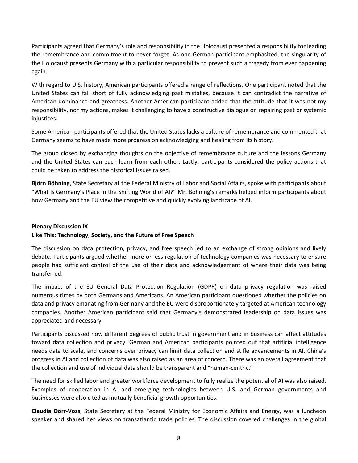Participants agreed that Germany's role and responsibility in the Holocaust presented a responsibility for leading the remembrance and commitment to never forget. As one German participant emphasized, the singularity of the Holocaust presents Germany with a particular responsibility to prevent such a tragedy from ever happening again.

With regard to U.S. history, American participants offered a range of reflections. One participant noted that the United States can fall short of fully acknowledging past mistakes, because it can contradict the narrative of American dominance and greatness. Another American participant added that the attitude that it was not my responsibility, nor my actions, makes it challenging to have a constructive dialogue on repairing past or systemic injustices.

Some American participants offered that the United States lacks a culture of remembrance and commented that Germany seems to have made more progress on acknowledging and healing from its history.

The group closed by exchanging thoughts on the objective of remembrance culture and the lessons Germany and the United States can each learn from each other. Lastly, participants considered the policy actions that could be taken to address the historical issues raised.

**Björn Böhning**, State Secretary at the Federal Ministry of Labor and Social Affairs, spoke with participants about "What Is Germany's Place in the Shifting World of AI?" Mr. Böhning's remarks helped inform participants about how Germany and the EU view the competitive and quickly evolving landscape of AI.

#### **Plenary Discussion IX**

# **Like This: Technology, Society, and the Future of Free Speech**

The discussion on data protection, privacy, and free speech led to an exchange of strong opinions and lively debate. Participants argued whether more or less regulation of technology companies was necessary to ensure people had sufficient control of the use of their data and acknowledgement of where their data was being transferred.

The impact of the EU General Data Protection Regulation (GDPR) on data privacy regulation was raised numerous times by both Germans and Americans. An American participant questioned whether the policies on data and privacy emanating from Germany and the EU were disproportionately targeted at American technology companies. Another American participant said that Germany's demonstrated leadership on data issues was appreciated and necessary.

Participants discussed how different degrees of public trust in government and in business can affect attitudes toward data collection and privacy. German and American participants pointed out that artificial intelligence needs data to scale, and concerns over privacy can limit data collection and stifle advancements in AI. China's progress in AI and collection of data was also raised as an area of concern. There was an overall agreement that the collection and use of individual data should be transparent and "human-centric."

The need for skilled labor and greater workforce development to fully realize the potential of AI was also raised. Examples of cooperation in AI and emerging technologies between U.S. and German governments and businesses were also cited as mutually beneficial growth opportunities.

**Claudia Dörr-Voss**, State Secretary at the Federal Ministry for Economic Affairs and Energy, was a luncheon speaker and shared her views on transatlantic trade policies. The discussion covered challenges in the global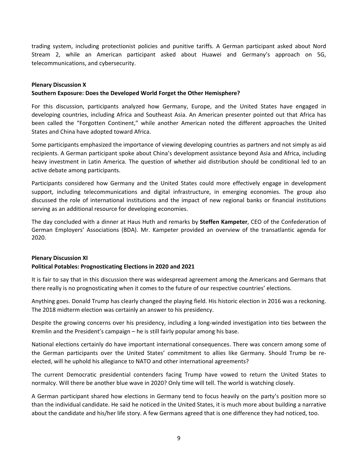trading system, including protectionist policies and punitive tariffs. A German participant asked about Nord Stream 2, while an American participant asked about Huawei and Germany's approach on 5G, telecommunications, and cybersecurity.

#### **Plenary Discussion X**

# **Southern Exposure: Does the Developed World Forget the Other Hemisphere?**

For this discussion, participants analyzed how Germany, Europe, and the United States have engaged in developing countries, including Africa and Southeast Asia. An American presenter pointed out that Africa has been called the "Forgotten Continent," while another American noted the different approaches the United States and China have adopted toward Africa.

Some participants emphasized the importance of viewing developing countries as partners and not simply as aid recipients. A German participant spoke about China's development assistance beyond Asia and Africa, including heavy investment in Latin America. The question of whether aid distribution should be conditional led to an active debate among participants.

Participants considered how Germany and the United States could more effectively engage in development support, including telecommunications and digital infrastructure, in emerging economies. The group also discussed the role of international institutions and the impact of new regional banks or financial institutions serving as an additional resource for developing economies.

The day concluded with a dinner at Haus Huth and remarks by **Steffen Kampeter**, CEO of the Confederation of German Employers' Associations (BDA). Mr. Kampeter provided an overview of the transatlantic agenda for 2020.

#### **Plenary Discussion XI**

#### **Political Potables: Prognosticating Elections in 2020 and 2021**

It is fair to say that in this discussion there was widespread agreement among the Americans and Germans that there really is no prognosticating when it comes to the future of our respective countries' elections.

Anything goes. Donald Trump has clearly changed the playing field. His historic election in 2016 was a reckoning. The 2018 midterm election was certainly an answer to his presidency.

Despite the growing concerns over his presidency, including a long-winded investigation into ties between the Kremlin and the President's campaign – he is still fairly popular among his base.

National elections certainly do have important international consequences. There was concern among some of the German participants over the United States' commitment to allies like Germany. Should Trump be reelected, will he uphold his allegiance to NATO and other international agreements?

The current Democratic presidential contenders facing Trump have vowed to return the United States to normalcy. Will there be another blue wave in 2020? Only time will tell. The world is watching closely.

A German participant shared how elections in Germany tend to focus heavily on the party's position more so than the individual candidate. He said he noticed in the United States, it is much more about building a narrative about the candidate and his/her life story. A few Germans agreed that is one difference they had noticed, too.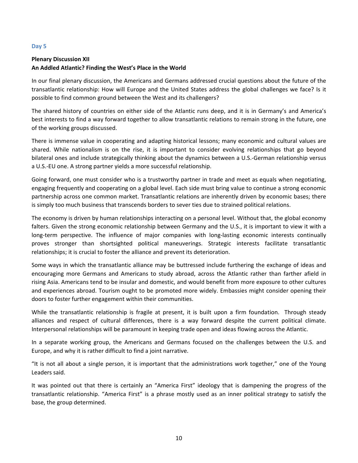#### **Day 5**

# **Plenary Discussion XII An Addled Atlantic? Finding the West's Place in the World**

In our final plenary discussion, the Americans and Germans addressed crucial questions about the future of the transatlantic relationship: How will Europe and the United States address the global challenges we face? Is it possible to find common ground between the West and its challengers?

The shared history of countries on either side of the Atlantic runs deep, and it is in Germany's and America's best interests to find a way forward together to allow transatlantic relations to remain strong in the future, one of the working groups discussed.

There is immense value in cooperating and adapting historical lessons; many economic and cultural values are shared. While nationalism is on the rise, it is important to consider evolving relationships that go beyond bilateral ones and include strategically thinking about the dynamics between a U.S.-German relationship versus a U.S.-EU one. A strong partner yields a more successful relationship.

Going forward, one must consider who is a trustworthy partner in trade and meet as equals when negotiating, engaging frequently and cooperating on a global level. Each side must bring value to continue a strong economic partnership across one common market. Transatlantic relations are inherently driven by economic bases; there is simply too much business that transcends borders to sever ties due to strained political relations.

The economy is driven by human relationships interacting on a personal level. Without that, the global economy falters. Given the strong economic relationship between Germany and the U.S., it is important to view it with a long-term perspective. The influence of major companies with long-lasting economic interests continually proves stronger than shortsighted political maneuverings. Strategic interests facilitate transatlantic relationships; it is crucial to foster the alliance and prevent its deterioration.

Some ways in which the transatlantic alliance may be buttressed include furthering the exchange of ideas and encouraging more Germans and Americans to study abroad, across the Atlantic rather than farther afield in rising Asia. Americans tend to be insular and domestic, and would benefit from more exposure to other cultures and experiences abroad. Tourism ought to be promoted more widely. Embassies might consider opening their doors to foster further engagement within their communities.

While the transatlantic relationship is fragile at present, it is built upon a firm foundation. Through steady alliances and respect of cultural differences, there is a way forward despite the current political climate. Interpersonal relationships will be paramount in keeping trade open and ideas flowing across the Atlantic.

In a separate working group, the Americans and Germans focused on the challenges between the U.S. and Europe, and why it is rather difficult to find a joint narrative.

"It is not all about a single person, it is important that the administrations work together," one of the Young Leaders said.

It was pointed out that there is certainly an "America First" ideology that is dampening the progress of the transatlantic relationship. "America First" is a phrase mostly used as an inner political strategy to satisfy the base, the group determined.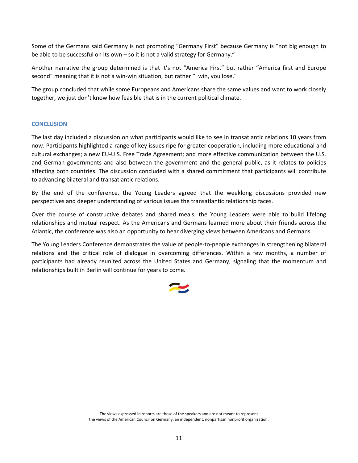Some of the Germans said Germany is not promoting "Germany First" because Germany is "not big enough to be able to be successful on its own – so it is not a valid strategy for Germany."

Another narrative the group determined is that it's not "America First" but rather "America first and Europe second" meaning that it is not a win-win situation, but rather "I win, you lose."

The group concluded that while some Europeans and Americans share the same values and want to work closely together, we just don't know how feasible that is in the current political climate.

#### **CONCLUSION**

The last day included a discussion on what participants would like to see in transatlantic relations 10 years from now. Participants highlighted a range of key issues ripe for greater cooperation, including more educational and cultural exchanges; a new EU-U.S. Free Trade Agreement; and more effective communication between the U.S. and German governments and also between the government and the general public, as it relates to policies affecting both countries. The discussion concluded with a shared commitment that participants will contribute to advancing bilateral and transatlantic relations.

By the end of the conference, the Young Leaders agreed that the weeklong discussions provided new perspectives and deeper understanding of various issues the transatlantic relationship faces.

Over the course of constructive debates and shared meals, the Young Leaders were able to build lifelong relationships and mutual respect. As the Americans and Germans learned more about their friends across the Atlantic, the conference was also an opportunity to hear diverging views between Americans and Germans.

The Young Leaders Conference demonstrates the value of people-to-people exchanges in strengthening bilateral relations and the critical role of dialogue in overcoming differences. Within a few months, a number of participants had already reunited across the United States and Germany, signaling that the momentum and relationships built in Berlin will continue for years to come.

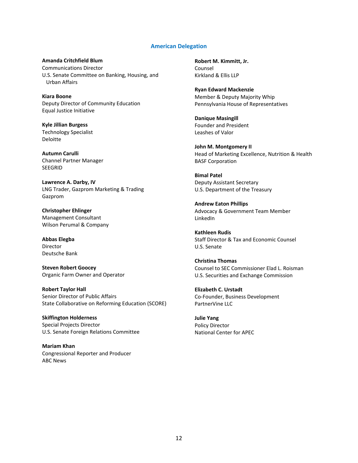#### **American Delegation**

**Amanda Critchfield Blum** Communications Director U.S. Senate Committee on Banking, Housing, and Urban Affairs

**Kiara Boone** Deputy Director of Community Education Equal Justice Initiative

**Kyle Jillian Burgess** Technology Specialist Deloitte

**Autumn Carulli** Channel Partner Manager SEEGRID

**Lawrence A. Darby, IV** LNG Trader, Gazprom Marketing & Trading Gazprom

**Christopher Ehlinger** Management Consultant Wilson Perumal & Company

**Abbas Elegba** Director Deutsche Bank

**Steven Robert Goocey** Organic Farm Owner and Operator

**Robert Taylor Hall** Senior Director of Public Affairs State Collaborative on Reforming Education (SCORE)

**Skiffington Holderness** Special Projects Director U.S. Senate Foreign Relations Committee

**Mariam Khan** Congressional Reporter and Producer ABC News

**Robert M. Kimmitt, Jr.** Counsel Kirkland & Ellis LLP

**Ryan Edward Mackenzie** Member & Deputy Majority Whip Pennsylvania House of Representatives

**Danique Masingill** Founder and President Leashes of Valor

**John M. Montgomery II** Head of Marketing Excellence, Nutrition & Health BASF Corporation

**Bimal Patel** Deputy Assistant Secretary U.S. Department of the Treasury

**Andrew Eaton Phillips** Advocacy & Government Team Member LinkedIn

**Kathleen Rudis** Staff Director & Tax and Economic Counsel U.S. Senate

**Christina Thomas** Counsel to SEC Commissioner Elad L. Roisman U.S. Securities and Exchange Commission

**Elizabeth C. Urstadt** Co-Founder, Business Development PartnerVine LLC

**Julie Yang** Policy Director National Center for APEC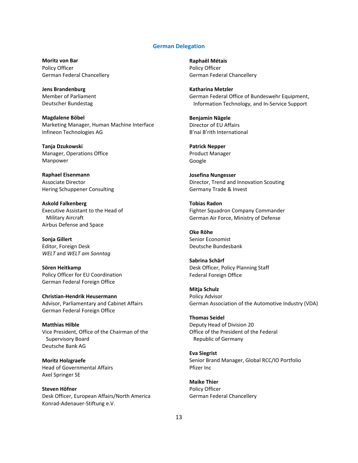#### **German Delegation**

**Moritz von Bar** Policy Officer German Federal Chancellery

**Jens Brandenburg** Member of Parliament Deutscher Bundestag

**Magdalene Böbel** Marketing Manager, Human Machine Interface Infineon Technologies AG

**Tanja Dzukowski** Manager, Operations Office Manpower

**Raphael Eisenmann** Associate Director Hering Schuppener Consulting

**Askold Falkenberg** Executive Assistant to the Head of Military Aircraft Airbus Defense and Space

**Sonja Gillert** Editor, Foreign Desk *WELT* and *WELT am Sonntag*

**Sören Heitkamp** Policy Officer for EU Coordination German Federal Foreign Office

**Christian-Hendrik Heusermann** Advisor, Parliamentary and Cabinet Affairs German Federal Foreign Office

**Matthias Hilble** Vice President, Office of the Chairman of the Supervisory Board Deutsche Bank AG

**Moritz Holzgraefe** Head of Governmental Affairs Axel Springer SE

**Steven Höfner** Desk Officer, European Affairs/North America Konrad-Adenauer-Stiftung e.V.

**Raphaël Métais** Policy Officer German Federal Chancellery

**Katharina Metzler** German Federal Office of Bundeswehr Equipment, Information Technology, and In-Service Support

**Benjamin Nägele** Director of EU Affairs B'nai B'rith International

**Patrick Nepper** Product Manager Google

**Josefina Nungesser** Director, Trend and Innovation Scouting Germany Trade & Invest

**Tobias Radon** Fighter Squadron Company Commander German Air Force, Ministry of Defense

**Oke Röhe** Senior Economist Deutsche Bundesbank

**Sabrina Schärf** Desk Officer, Policy Planning Staff Federal Foreign Office

**Mitja Schulz** Policy Advisor German Association of the Automotive Industry (VDA)

**Thomas Seidel** Deputy Head of Division 20 Office of the President of the Federal Republic of Germany

**Eva Siegrist** Senior Brand Manager, Global RCC/IO Portfolio Pfizer Inc

**Maike Thier** Policy Officer German Federal Chancellery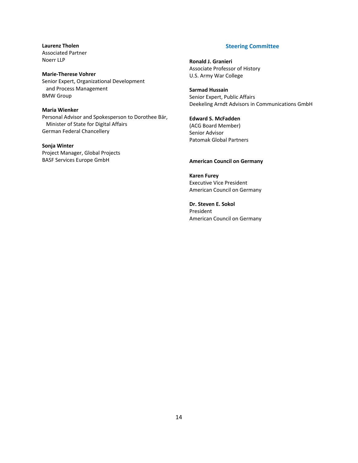**Laurenz Tholen** Associated Partner Noerr LLP

**Marie-Therese Vohrer** Senior Expert, Organizational Development and Process Management BMW Group

#### **Maria Wienker**

Personal Advisor and Spokesperson to Dorothee Bär, Minister of State for Digital Affairs German Federal Chancellery

#### **Sonja Winter**

Project Manager, Global Projects BASF Services Europe GmbH

#### **Steering Committee**

**Ronald J. Granieri** Associate Professor of History U.S. Army War College

**Sarmad Hussain** Senior Expert, Public Affairs Deekeling Arndt Advisors in Communications GmbH

#### **Edward S. McFadden** (ACG Board Member) Senior Advisor Patomak Global Partners

#### **American Council on Germany**

**Karen Furey** Executive Vice President American Council on Germany

**Dr. Steven E. Sokol** President American Council on Germany